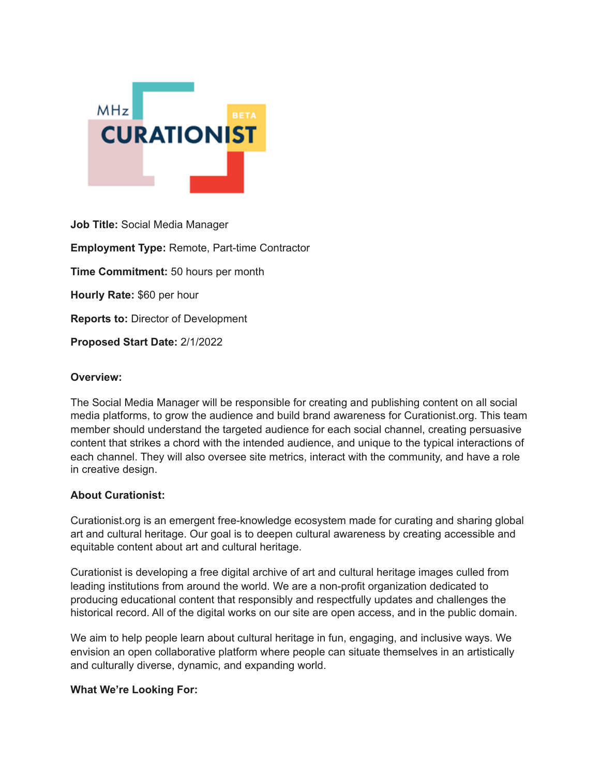

**Job Title:** Social Media Manager **Employment Type:** Remote, Part-time Contractor **Time Commitment:** 50 hours per month **Hourly Rate:** \$60 per hour **Reports to:** Director of Development **Proposed Start Date:** 2/1/2022

### **Overview:**

The Social Media Manager will be responsible for creating and publishing content on all social media platforms, to grow the audience and build brand awareness for Curationist.org. This team member should understand the targeted audience for each social channel, creating persuasive content that strikes a chord with the intended audience, and unique to the typical interactions of each channel. They will also oversee site metrics, interact with the community, and have a role in creative design.

### **About Curationist:**

Curationist.org is an emergent free-knowledge ecosystem made for curating and sharing global art and cultural heritage. Our goal is to deepen cultural awareness by creating accessible and equitable content about art and cultural heritage.

Curationist is developing a free digital archive of art and cultural heritage images culled from leading institutions from around the world. We are a non-profit organization dedicated to producing educational content that responsibly and respectfully updates and challenges the historical record. All of the digital works on our site are open access, and in the public domain.

We aim to help people learn about cultural heritage in fun, engaging, and inclusive ways. We envision an open collaborative platform where people can situate themselves in an artistically and culturally diverse, dynamic, and expanding world.

### **What We're Looking For:**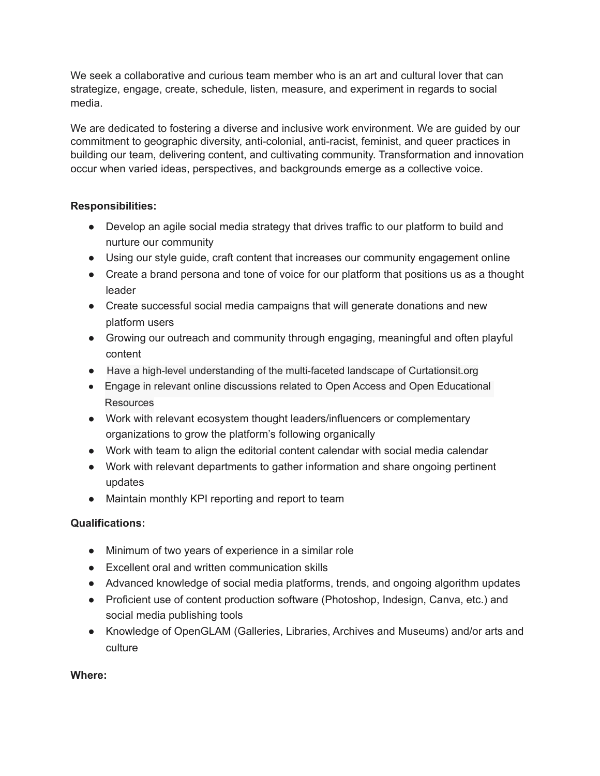We seek a collaborative and curious team member who is an art and cultural lover that can strategize, engage, create, schedule, listen, measure, and experiment in regards to social media.

We are dedicated to fostering a diverse and inclusive work environment. We are guided by our commitment to geographic diversity, anti-colonial, anti-racist, feminist, and queer practices in building our team, delivering content, and cultivating community. Transformation and innovation occur when varied ideas, perspectives, and backgrounds emerge as a collective voice.

## **Responsibilities:**

- Develop an agile social media strategy that drives traffic to our platform to build and nurture our community
- Using our style guide, craft content that increases our community engagement online
- Create a brand persona and tone of voice for our platform that positions us as a thought leader
- Create successful social media campaigns that will generate donations and new platform users
- Growing our outreach and community through engaging, meaningful and often playful content
- Have a high-level understanding of the multi-faceted landscape of Curtationsit.org
- Engage in relevant online discussions related to Open Access and Open Educational Resources
- Work with relevant ecosystem thought leaders/influencers or complementary organizations to grow the platform's following organically
- Work with team to align the editorial content calendar with social media calendar
- Work with relevant departments to gather information and share ongoing pertinent updates
- Maintain monthly KPI reporting and report to team

# **Qualifications:**

- Minimum of two years of experience in a similar role
- Excellent oral and written communication skills
- Advanced knowledge of social media platforms, trends, and ongoing algorithm updates
- Proficient use of content production software (Photoshop, Indesign, Canva, etc.) and social media publishing tools
- Knowledge of OpenGLAM (Galleries, Libraries, Archives and Museums) and/or arts and culture

# **Where:**